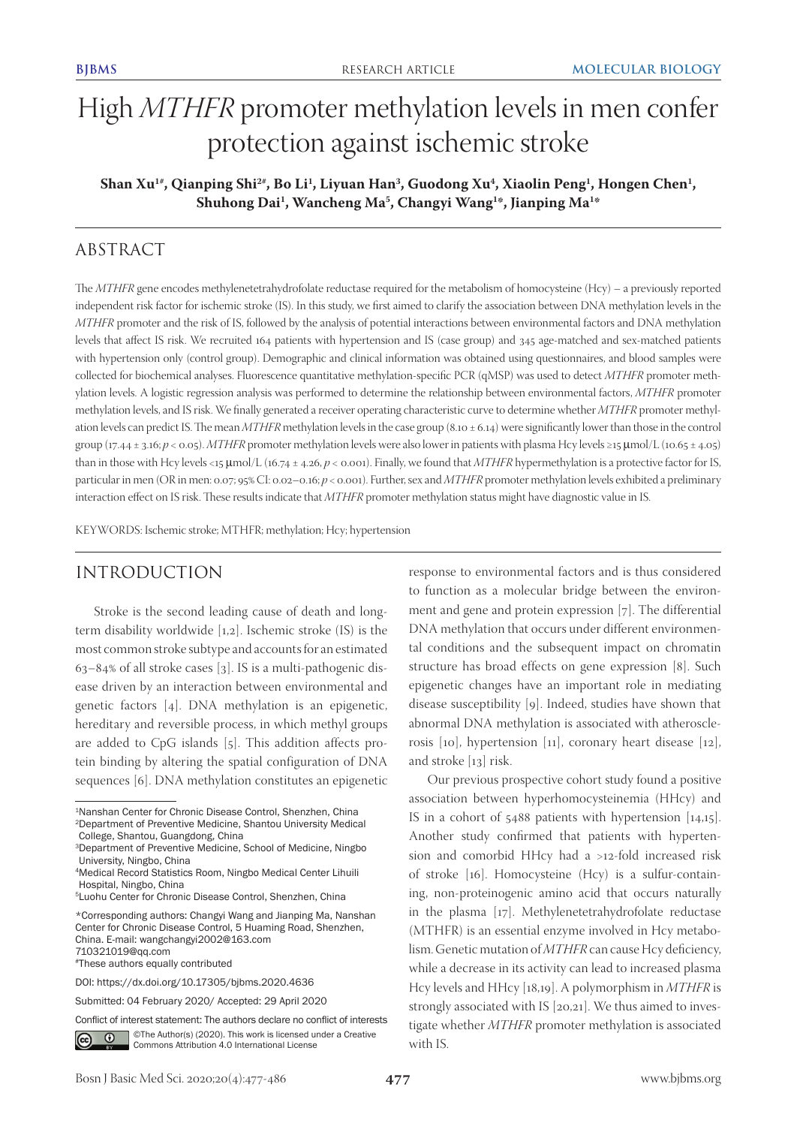# High *MTHFR* promoter methylation levels in men confer protection against ischemic stroke

Shan Xu<sup>1#</sup>, Qianping Shi<sup>2#</sup>, Bo Li<sup>1</sup>, Liyuan Han<sup>3</sup>, Guodong Xu<sup>4</sup>, Xiaolin Peng<sup>1</sup>, Hongen Chen<sup>1</sup>, **Shuhong Dai1 , Wancheng Ma5 , Changyi Wang1 \*, Jianping Ma1 \***

# ABSTRACT

The *MTHFR* gene encodes methylenetetrahydrofolate reductase required for the metabolism of homocysteine (Hcy) – a previously reported independent risk factor for ischemic stroke (IS). In this study, we first aimed to clarify the association between DNA methylation levels in the *MTHFR* promoter and the risk of IS, followed by the analysis of potential interactions between environmental factors and DNA methylation levels that affect IS risk. We recruited 164 patients with hypertension and IS (case group) and 345 age-matched and sex-matched patients with hypertension only (control group). Demographic and clinical information was obtained using questionnaires, and blood samples were collected for biochemical analyses. Fluorescence quantitative methylation-specific PCR (qMSP) was used to detect *MTHFR* promoter methylation levels. A logistic regression analysis was performed to determine the relationship between environmental factors, *MTHFR* promoter methylation levels, and IS risk. We finally generated a receiver operating characteristic curve to determine whether *MTHFR* promoter methylation levels can predict IS. The mean *MTHFR* methylation levels in the case group (8.10 ± 6.14) were significantly lower than those in the control group (17.44 ± 3.16; *p <* 0.05). *MTHFR* promoter methylation levels were also lower in patients with plasma Hcy levels ≥15 μmol/L (10.65 ± 4.05) than in those with Hcy levels <15 μmol/L (16.74 ± 4.26, *p <* 0.001). Finally, we found that *MTHFR* hypermethylation is a protective factor for IS, particular in men (OR in men: 0.07; 95% CI: 0.02–0.16; *p* < 0.001). Further, sex and *MTHFR* promoter methylation levels exhibited a preliminary interaction effect on IS risk. These results indicate that *MTHFR* promoter methylation status might have diagnostic value in IS.

KEYWORDS: Ischemic stroke; MTHFR; methylation; Hcy; hypertension

# INTRODUCTION

Stroke is the second leading cause of death and longterm disability worldwide [1,2]. Ischemic stroke (IS) is the most common stroke subtype and accounts for an estimated  $63-84\%$  of all stroke cases [3]. IS is a multi-pathogenic disease driven by an interaction between environmental and genetic factors [4]. DNA methylation is an epigenetic, hereditary and reversible process, in which methyl groups are added to CpG islands [5]. This addition affects protein binding by altering the spatial configuration of DNA sequences [6]. DNA methylation constitutes an epigenetic

#These authors equally contributed

Submitted: 04 February 2020/ Accepted: 29 April 2020

Conflict of interest statement: The authors declare no conflict of interests

©The Author(s) (2020). This work is licensed under a Creative  $\odot$ Commons Attribution 4.0 International License

response to environmental factors and is thus considered to function as a molecular bridge between the environment and gene and protein expression [7]. The differential DNA methylation that occurs under different environmental conditions and the subsequent impact on chromatin structure has broad effects on gene expression [8]. Such epigenetic changes have an important role in mediating disease susceptibility [9]. Indeed, studies have shown that abnormal DNA methylation is associated with atherosclerosis [10], hypertension [11], coronary heart disease [12], and stroke [13] risk.

Our previous prospective cohort study found a positive association between hyperhomocysteinemia (HHcy) and IS in a cohort of 5488 patients with hypertension [14,15]. Another study confirmed that patients with hypertension and comorbid HHcy had a >12-fold increased risk of stroke [16]. Homocysteine (Hcy) is a sulfur-containing, non-proteinogenic amino acid that occurs naturally in the plasma [17]. Methylenetetrahydrofolate reductase (MTHFR) is an essential enzyme involved in Hcy metabolism. Genetic mutation of *MTHFR* can cause Hcy deficiency, while a decrease in its activity can lead to increased plasma Hcy levels and HHcy [18,19]. A polymorphism in *MTHFR* is strongly associated with IS [20,21]. We thus aimed to investigate whether *MTHFR* promoter methylation is associated with IS.

<sup>1</sup>Nanshan Center for Chronic Disease Control, Shenzhen, China 2Department of Preventive Medicine, Shantou University Medical College, Shantou, Guangdong, China

<sup>3</sup>Department of Preventive Medicine, School of Medicine, Ningbo University, Ningbo, China

<sup>4</sup>Medical Record Statistics Room, Ningbo Medical Center Lihuili Hospital, Ningbo, China

<sup>5</sup>Luohu Center for Chronic Disease Control, Shenzhen, China

<sup>\*</sup>Corresponding authors: Changyi Wang and Jianping Ma, Nanshan Center for Chronic Disease Control, 5 Huaming Road, Shenzhen, China. E-mail: wangchangyi2002@163.com 710321019@qq.com

DOI: https://dx.doi.org/10.17305/bjbms.2020.4636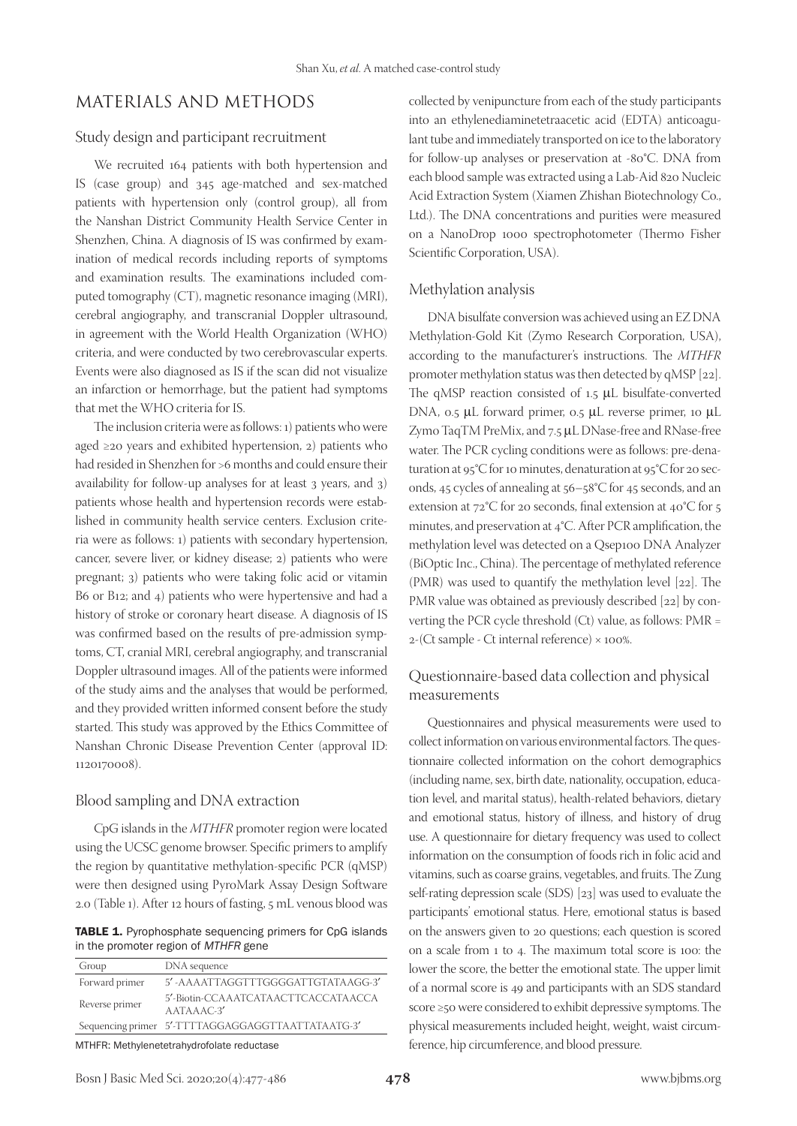# MATERIALS AND METHODS

#### Study design and participant recruitment

We recruited 164 patients with both hypertension and IS (case group) and 345 age-matched and sex-matched patients with hypertension only (control group), all from the Nanshan District Community Health Service Center in Shenzhen, China. A diagnosis of IS was confirmed by examination of medical records including reports of symptoms and examination results. The examinations included computed tomography (CT), magnetic resonance imaging (MRI), cerebral angiography, and transcranial Doppler ultrasound, in agreement with the World Health Organization (WHO) criteria, and were conducted by two cerebrovascular experts. Events were also diagnosed as IS if the scan did not visualize an infarction or hemorrhage, but the patient had symptoms that met the WHO criteria for IS.

The inclusion criteria were as follows: 1) patients who were aged ≥20 years and exhibited hypertension, 2) patients who had resided in Shenzhen for >6 months and could ensure their availability for follow-up analyses for at least 3 years, and 3) patients whose health and hypertension records were established in community health service centers. Exclusion criteria were as follows: 1) patients with secondary hypertension, cancer, severe liver, or kidney disease; 2) patients who were pregnant; 3) patients who were taking folic acid or vitamin B6 or B12; and 4) patients who were hypertensive and had a history of stroke or coronary heart disease. A diagnosis of IS was confirmed based on the results of pre-admission symptoms, CT, cranial MRI, cerebral angiography, and transcranial Doppler ultrasound images. All of the patients were informed of the study aims and the analyses that would be performed, and they provided written informed consent before the study started. This study was approved by the Ethics Committee of Nanshan Chronic Disease Prevention Center (approval ID: 1120170008).

#### Blood sampling and DNA extraction

CpG islands in the *MTHFR* promoter region were located using the UCSC genome browser. Specific primers to amplify the region by quantitative methylation-specific PCR (qMSP) were then designed using PyroMark Assay Design Software 2.0 (Table 1). After 12 hours of fasting, 5 mL venous blood was

TABLE 1. Pyrophosphate sequencing primers for CpG islands in the promoter region of MTHFR gene

| Group          | DNA sequence                                        |
|----------------|-----------------------------------------------------|
| Forward primer | 5'-AAAATTAGGTTTGGGGATTGTATAAGG-3'                   |
| Reverse primer | 5'-Biotin-CCAAATCATAACTTCACCATAACCA<br>$AATAAAC-3'$ |
|                | Sequencing primer 5'-TTTTAGGAGGAGGTTAATTATAATG-3'   |
|                | $\blacksquare$                                      |

MTHFR: Methylenetetrahydrofolate reductase

collected by venipuncture from each of the study participants into an ethylenediaminetetraacetic acid (EDTA) anticoagulant tube and immediately transported on ice to the laboratory for follow-up analyses or preservation at -80°C. DNA from each blood sample was extracted using a Lab-Aid 820 Nucleic Acid Extraction System (Xiamen Zhishan Biotechnology Co., Ltd.). The DNA concentrations and purities were measured on a NanoDrop 1000 spectrophotometer (Thermo Fisher Scientific Corporation, USA).

#### Methylation analysis

DNA bisulfate conversion was achieved using an EZ DNA Methylation-Gold Kit (Zymo Research Corporation, USA), according to the manufacturer's instructions. The *MTHFR* promoter methylation status was then detected by qMSP [22]. The qMSP reaction consisted of 1.5 µL bisulfate-converted DNA, 0.5 µL forward primer, 0.5 µL reverse primer, 10 µL Zymo TaqTM PreMix, and 7.5 µL DNase-free and RNase-free water. The PCR cycling conditions were as follows: pre-denaturation at 95°C for 10 minutes, denaturation at 95°C for 20 seconds, 45 cycles of annealing at 56–58°C for 45 seconds, and an extension at 72°C for 20 seconds, final extension at 40°C for 5 minutes, and preservation at 4°C. After PCR amplification, the methylation level was detected on a Qsep100 DNA Analyzer (BiOptic Inc., China). The percentage of methylated reference (PMR) was used to quantify the methylation level [22]. The PMR value was obtained as previously described [22] by converting the PCR cycle threshold (Ct) value, as follows: PMR = 2-(Ct sample - Ct internal reference) × 100%.

## Questionnaire-based data collection and physical measurements

Questionnaires and physical measurements were used to collect information on various environmental factors. The questionnaire collected information on the cohort demographics (including name, sex, birth date, nationality, occupation, education level, and marital status), health-related behaviors, dietary and emotional status, history of illness, and history of drug use. A questionnaire for dietary frequency was used to collect information on the consumption of foods rich in folic acid and vitamins, such as coarse grains, vegetables, and fruits. The Zung self-rating depression scale (SDS) [23] was used to evaluate the participants' emotional status. Here, emotional status is based on the answers given to 20 questions; each question is scored on a scale from 1 to 4. The maximum total score is 100: the lower the score, the better the emotional state. The upper limit of a normal score is 49 and participants with an SDS standard score ≥50 were considered to exhibit depressive symptoms. The physical measurements included height, weight, waist circumference, hip circumference, and blood pressure.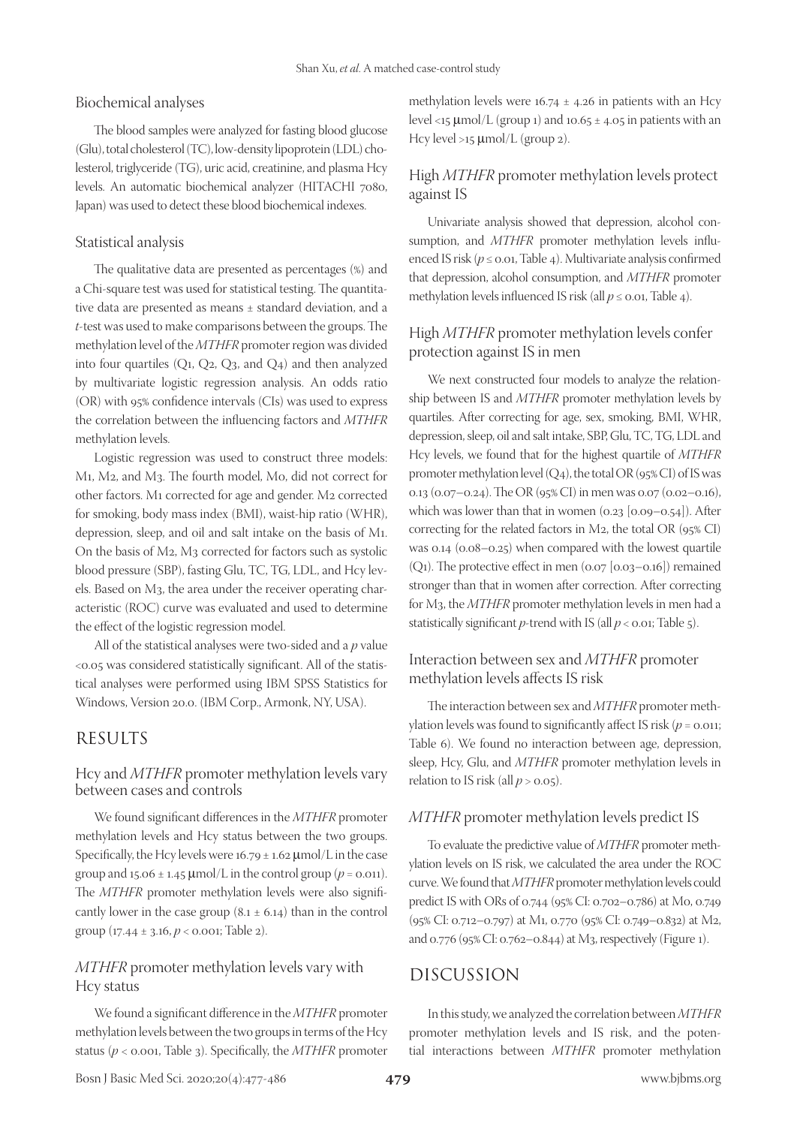#### Biochemical analyses

The blood samples were analyzed for fasting blood glucose (Glu), total cholesterol (TC), low-density lipoprotein (LDL) cholesterol, triglyceride (TG), uric acid, creatinine, and plasma Hcy levels. An automatic biochemical analyzer (HITACHI 7080, Japan) was used to detect these blood biochemical indexes.

#### Statistical analysis

The qualitative data are presented as percentages (%) and a Chi-square test was used for statistical testing. The quantitative data are presented as means ± standard deviation, and a *t*-test was used to make comparisons between the groups. The methylation level of the *MTHFR* promoter region was divided into four quartiles  $(Q_1, Q_2, Q_3,$  and  $Q_4$ ) and then analyzed by multivariate logistic regression analysis. An odds ratio (OR) with 95% confidence intervals (CIs) was used to express the correlation between the influencing factors and *MTHFR* methylation levels.

Logistic regression was used to construct three models: M1, M2, and M3. The fourth model, M0, did not correct for other factors. M1 corrected for age and gender. M2 corrected for smoking, body mass index (BMI), waist-hip ratio (WHR), depression, sleep, and oil and salt intake on the basis of M1. On the basis of M2, M3 corrected for factors such as systolic blood pressure (SBP), fasting Glu, TC, TG, LDL, and Hcy levels. Based on M3, the area under the receiver operating characteristic (ROC) curve was evaluated and used to determine the effect of the logistic regression model.

All of the statistical analyses were two-sided and a *p* value <0.05 was considered statistically significant. All of the statistical analyses were performed using IBM SPSS Statistics for Windows, Version 20.0. (IBM Corp., Armonk, NY, USA).

## RESULTS

## Hcy and *MTHFR* promoter methylation levels vary between cases and controls

We found significant differences in the *MTHFR* promoter methylation levels and Hcy status between the two groups. Specifically, the Hcy levels were  $16.79 \pm 1.62$   $\mu$ mol/L in the case group and 15.06  $\pm$  1.45  $\mu$ mol/L in the control group ( $p = 0.011$ ). The *MTHFR* promoter methylation levels were also significantly lower in the case group  $(8.1 \pm 6.14)$  than in the control group (17.44 ± 3.16, *p* < 0.001; Table 2).

### *MTHFR* promoter methylation levels vary with Hcy status

We found a significant difference in the *MTHFR* promoter methylation levels between the two groups in terms of the Hcy status (*p* < 0.001, Table 3). Specifically, the *MTHFR* promoter methylation levels were  $16.74 \pm 4.26$  in patients with an Hcy level <15  $\mu$ mol/L (group 1) and 10.65 ± 4.05 in patients with an Hcy level >15 μmol/L (group 2).

## High *MTHFR* promoter methylation levels protect against IS

Univariate analysis showed that depression, alcohol consumption, and *MTHFR* promoter methylation levels influenced IS risk (*p* ≤ 0.01, Table 4). Multivariate analysis confirmed that depression, alcohol consumption, and *MTHFR* promoter methylation levels influenced IS risk (all  $p \le 0.01$ , Table 4).

## High *MTHFR* promoter methylation levels confer protection against IS in men

We next constructed four models to analyze the relationship between IS and *MTHFR* promoter methylation levels by quartiles. After correcting for age, sex, smoking, BMI, WHR, depression, sleep, oil and salt intake, SBP, Glu, TC, TG, LDL and Hcy levels, we found that for the highest quartile of *MTHFR* promoter methylation level (Q4), the total OR (95% CI) of IS was 0.13 (0.07–0.24). The OR (95% CI) in men was 0.07 (0.02–0.16), which was lower than that in women  $(0.23 \mid 0.09 - 0.54)$ . After correcting for the related factors in M2, the total OR (95% CI) was 0.14 (0.08–0.25) when compared with the lowest quartile  $(Q_1)$ . The protective effect in men  $(0.07 \mid 0.03-0.16)$  remained stronger than that in women after correction. After correcting for M3, the *MTHFR* promoter methylation levels in men had a statistically significant *p*-trend with IS (all  $p < 0.01$ ; Table 5).

## Interaction between sex and *MTHFR* promoter methylation levels affects IS risk

The interaction between sex and *MTHFR* promoter methylation levels was found to significantly affect IS risk (*p* = 0.011; Table 6). We found no interaction between age, depression, sleep, Hcy, Glu, and *MTHFR* promoter methylation levels in relation to IS risk (all  $p > 0.05$ ).

#### *MTHFR* promoter methylation levels predict IS

To evaluate the predictive value of *MTHFR* promoter methylation levels on IS risk, we calculated the area under the ROC curve. We found that *MTHFR* promoter methylation levels could predict IS with ORs of 0.744 (95% CI: 0.702–0.786) at M0, 0.749 (95% CI: 0.712–0.797) at M1, 0.770 (95% CI: 0.749–0.832) at M2, and 0.776 (95% CI: 0.762–0.844) at M3, respectively (Figure 1).

# DISCUSSION

In this study, we analyzed the correlation between *MTHFR* promoter methylation levels and IS risk, and the potential interactions between *MTHFR* promoter methylation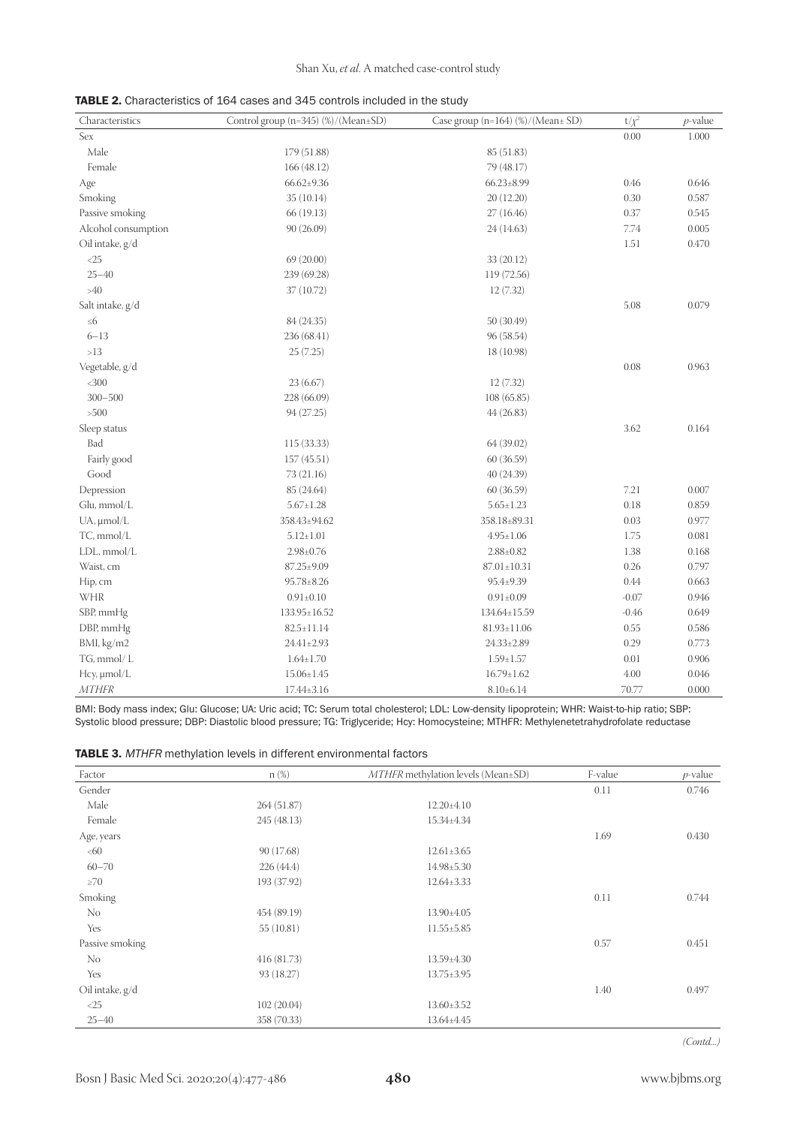| TABLE 2. Characteristics of 164 cases and 345 controls included in the study |  |
|------------------------------------------------------------------------------|--|
|------------------------------------------------------------------------------|--|

| Characteristics     | Control group (n=345) (%)/(Mean±SD) | Case group $(n=164)$ $\frac{\%}{\%}$ (Mean ± SD) | $t/\chi^2$ | $p$ -value |
|---------------------|-------------------------------------|--------------------------------------------------|------------|------------|
| Sex                 |                                     |                                                  | 0.00       | 1.000      |
| Male                | 179 (51.88)                         | 85 (51.83)                                       |            |            |
| Female              | 166 (48.12)                         | 79 (48.17)                                       |            |            |
| Age                 | $66.62{\pm}9.36$                    | $66.23 \pm 8.99$                                 | 0.46       | 0.646      |
| Smoking             | 35(10.14)                           | 20 (12.20)                                       | 0.30       | 0.587      |
| Passive smoking     | 66 (19.13)                          | 27(16.46)                                        | 0.37       | 0.545      |
| Alcohol consumption | 90 (26.09)                          | 24 (14.63)                                       | 7.74       | 0.005      |
| Oil intake, g/d     |                                     |                                                  | 1.51       | 0.470      |
| ${<}25$             | 69 (20.00)                          | 33 (20.12)                                       |            |            |
| $25 - 40$           | 239 (69.28)                         | 119 (72.56)                                      |            |            |
| $>40$               | 37 (10.72)                          | 12(7.32)                                         |            |            |
| Salt intake, g/d    |                                     |                                                  | 5.08       | 0.079      |
| $\leq 6$            | 84 (24.35)                          | 50 (30.49)                                       |            |            |
| $6 - 13$            | 236 (68.41)                         | 96 (58.54)                                       |            |            |
| $>13$               | 25(7.25)                            | 18 (10.98)                                       |            |            |
| Vegetable, g/d      |                                     |                                                  | 0.08       | 0.963      |
| $<300$              | 23(6.67)                            | 12 (7.32)                                        |            |            |
| $300 - 500$         | 228 (66.09)                         | 108 (65.85)                                      |            |            |
| >500                | 94 (27.25)                          | 44 (26.83)                                       |            |            |
| Sleep status        |                                     |                                                  | 3.62       | 0.164      |
| Bad                 | 115 (33.33)                         | 64 (39.02)                                       |            |            |
| Fairly good         | 157(45.51)                          | 60 (36.59)                                       |            |            |
| Good                | 73 (21.16)                          | 40 (24.39)                                       |            |            |
| Depression          | 85 (24.64)                          | 60 (36.59)                                       | 7.21       | 0.007      |
| Glu, mmol/L         | $5.67 \pm 1.28$                     | $5.65 \pm 1.23$                                  | 0.18       | 0.859      |
| $UA$ , $\mu$ mol/L  | 358.43±94.62                        | 358.18±89.31                                     | 0.03       | 0.977      |
| TC, mmol/L          | $5.12 \pm 1.01$                     | $4.95 \pm 1.06$                                  | 1.75       | 0.081      |
| LDL, mmol/L         | $2.98 \pm 0.76$                     | $2.88 \pm 0.82$                                  | 1.38       | 0.168      |
| Waist, cm           | $87.25 \pm 9.09$                    | $87.01 \pm 10.31$                                | 0.26       | 0.797      |
| Hip, cm             | $95.78 \pm 8.26$                    | 95.4±9.39                                        | 0.44       | 0.663      |
| WHR                 | $0.91 \pm 0.10$                     | $0.91 \pm 0.09$                                  | $-0.07$    | 0.946      |
| SBP, mmHg           | 133.95±16.52                        | 134.64±15.59                                     | $-0.46$    | 0.649      |
| DBP, mmHg           | $82.5 \pm 11.14$                    | $81.93 \pm 11.06$                                | 0.55       | 0.586      |
| BMI, kg/m2          | $24.41 \pm 2.93$                    | $24.33 \pm 2.89$                                 | 0.29       | 0.773      |
| TG, mmol/L          | $1.64 \pm 1.70$                     | $1.59 \pm 1.57$                                  | 0.01       | 0.906      |
| Hcy, µmol/L         | $15.06 \pm 1.45$                    | $16.79 \pm 1.62$                                 | 4.00       | 0.046      |
| <b>MTHFR</b>        | $17.44 \pm 3.16$                    | $8.10\pm 6.14$                                   | 70.77      | 0.000      |

BMI: Body mass index; Glu: Glucose; UA: Uric acid; TC: Serum total cholesterol; LDL: Low-density lipoprotein; WHR: Waist-to-hip ratio; SBP: Systolic blood pressure; DBP: Diastolic blood pressure; TG: Triglyceride; Hcy: Homocysteine; MTHFR: Methylenetetrahydrofolate reductase

| MTHFR methylation levels (Mean±SD)<br>$n(\%)$<br>Factor |             | F-value          | $p$ -value |       |
|---------------------------------------------------------|-------------|------------------|------------|-------|
| Gender                                                  |             |                  | 0.11       | 0.746 |
| Male                                                    | 264(51.87)  | $12.20 \pm 4.10$ |            |       |
| Female                                                  | 245 (48.13) | 15.34±4.34       |            |       |
| Age, years                                              |             |                  | 1.69       | 0.430 |
| <60                                                     | 90 (17.68)  | $12.61 \pm 3.65$ |            |       |
| $60 - 70$                                               | 226(44.4)   | $14.98 \pm 5.30$ |            |       |
| $\geq 70$                                               | 193 (37.92) | $12.64 \pm 3.33$ |            |       |
| Smoking                                                 |             |                  | 0.11       | 0.744 |
| No                                                      | 454 (89.19) | 13.90±4.05       |            |       |
| Yes                                                     | 55(10.81)   | $11.55 \pm 5.85$ |            |       |
| Passive smoking                                         |             |                  | 0.57       | 0.451 |
| No                                                      | 416 (81.73) | $13.59 \pm 4.30$ |            |       |
| Yes                                                     | 93 (18.27)  | $13.75 \pm 3.95$ |            |       |
| Oil intake, g/d                                         |             |                  | 1.40       | 0.497 |
| $\langle 25$                                            | 102(20.04)  | $13.60 \pm 3.52$ |            |       |
| $25 - 40$                                               | 358 (70.33) | 13.64±4.45       |            |       |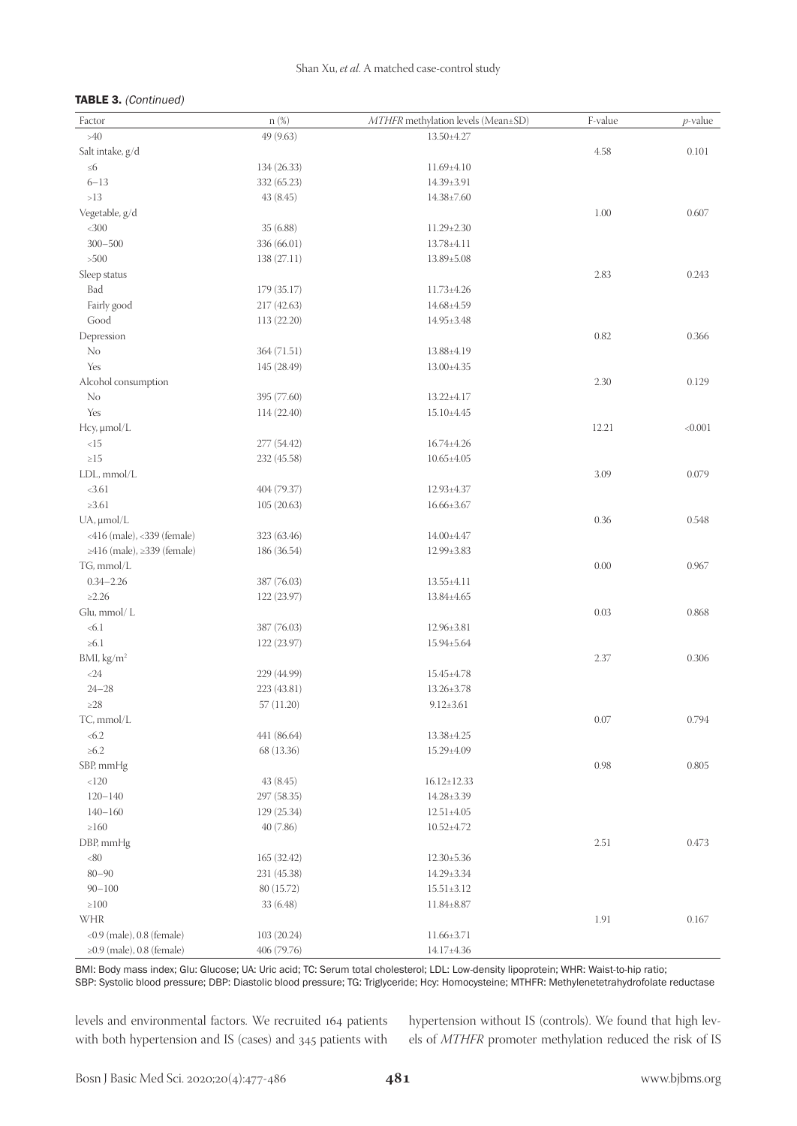#### TABLE 3. (Continued)

| Factor                                   | n (%)       | MTHFR methylation levels (Mean±SD) | F-value | $p$ -value |
|------------------------------------------|-------------|------------------------------------|---------|------------|
| $>40$                                    | 49 (9.63)   | 13.50±4.27                         |         |            |
| Salt intake, g/d                         |             |                                    | 4.58    | 0.101      |
| $\leq 6$                                 | 134 (26.33) | $11.69{\pm}4.10$                   |         |            |
| $6 - 13$                                 | 332 (65.23) | 14.39±3.91                         |         |            |
| ${>}13$                                  | 43(8.45)    | $14.38 \pm 7.60$                   |         |            |
| Vegetable, g/d                           |             |                                    | 1.00    | 0.607      |
| $<300$                                   | 35(6.88)    | $11.29 \pm 2.30$                   |         |            |
| $300 - 500$                              | 336 (66.01) | $13.78 \pm 4.11$                   |         |            |
| $>500$                                   | 138 (27.11) | $13.89{\pm}5.08$                   |         |            |
| Sleep status                             |             |                                    | 2.83    | 0.243      |
| Bad                                      | 179 (35.17) | $11.73 \pm 4.26$                   |         |            |
| Fairly good                              | 217 (42.63) | 14.68±4.59                         |         |            |
| Good                                     | 113 (22.20) | 14.95±3.48                         |         |            |
| Depression                               |             |                                    | 0.82    | 0.366      |
| No                                       | 364(71.51)  | 13.88±4.19                         |         |            |
| Yes                                      | 145 (28.49) | $13.00 \pm 4.35$                   |         |            |
| Alcohol consumption                      |             |                                    | 2.30    | 0.129      |
| $\rm No$                                 | 395 (77.60) | 13.22±4.17                         |         |            |
| Yes                                      | 114 (22.40) | $15.10{\pm}4.45$                   |         |            |
| Hcy, µmol/L                              |             |                                    | 12.21   | < 0.001    |
| $<15$                                    | 277 (54.42) | 16.74±4.26                         |         |            |
| ${\geq}15$                               | 232 (45.58) | $10.65 \pm 4.05$                   |         |            |
| LDL, mmol/L                              |             |                                    | 3.09    | 0.079      |
| <3.61                                    | 404 (79.37) | 12.93±4.37                         |         |            |
| $\geq 3.61$                              | 105(20.63)  | $16.66 \pm 3.67$                   |         |            |
|                                          |             |                                    | 0.36    | 0.548      |
| $UA$ , $\mu$ mol/L                       |             | 14.00±4.47                         |         |            |
| <416 (male), <339 (female)               | 323 (63.46) |                                    |         |            |
| ≥416 (male), ≥339 (female)<br>TG, mmol/L | 186 (36.54) | 12.99±3.83                         | 0.00    | 0.967      |
|                                          |             |                                    |         |            |
| $0.34 - 2.26$<br>$\geq$ 2.26             | 387 (76.03) | 13.55±4.11                         |         |            |
|                                          | 122 (23.97) | 13.84±4.65                         |         |            |
| Glu, mmol/L                              |             |                                    | 0.03    | 0.868      |
| < 6.1                                    | 387 (76.03) | 12.96±3.81                         |         |            |
| $\geq 6.1$                               | 122 (23.97) | 15.94±5.64                         |         |            |
| BMI, kg/m <sup>2</sup>                   |             |                                    | 2.37    | 0.306      |
| ${<}24$                                  | 229 (44.99) | 15.45±4.78                         |         |            |
| $24 - 28$                                | 223 (43.81) | $13.26 \pm 3.78$                   |         |            |
| ${\geq}28$                               | 57(11.20)   | $9.12 \pm 3.61$                    |         |            |
| TC, mmol/L                               |             |                                    | 0.07    | 0.794      |
| < 6.2                                    | 441 (86.64) | 13.38±4.25                         |         |            |
| $\geq 6.2$                               | 68 (13.36)  | 15.29±4.09                         |         |            |
| SBP, mmHg                                |             |                                    | 0.98    | 0.805      |
| $<120$                                   | 43(8.45)    | $16.12 \pm 12.33$                  |         |            |
| $120 - 140$                              | 297 (58.35) | 14.28±3.39                         |         |            |
| $140 - 160$                              | 129 (25.34) | $12.51 \pm 4.05$                   |         |            |
| $\geq 160$                               | 40(7.86)    | $10.52 \pm 4.72$                   |         |            |
| DBP, mmHg                                |             |                                    | 2.51    | 0.473      |
| $<\!\!80$                                | 165 (32.42) | $12.30 \pm 5.36$                   |         |            |
| $80 - 90$                                | 231 (45.38) | 14.29±3.34                         |         |            |
| $90 - 100$                               | 80 (15.72)  | $15.51 \pm 3.12$                   |         |            |
| $\geq 100$                               | 33(6.48)    | 11.84±8.87                         |         |            |
| WHR                                      |             |                                    | 1.91    | 0.167      |
| $<$ 0.9 (male), 0.8 (female)             | 103(20.24)  | 11.66±3.71                         |         |            |
| $\geq$ 0.9 (male), 0.8 (female)          | 406 (79.76) | 14.17±4.36                         |         |            |

BMI: Body mass index; Glu: Glucose; UA: Uric acid; TC: Serum total cholesterol; LDL: Low-density lipoprotein; WHR: Waist-to-hip ratio; SBP: Systolic blood pressure; DBP: Diastolic blood pressure; TG: Triglyceride; Hcy: Homocysteine; MTHFR: Methylenetetrahydrofolate reductase

levels and environmental factors. We recruited 164 patients with both hypertension and IS (cases) and 345 patients with

hypertension without IS (controls). We found that high levels of *MTHFR* promoter methylation reduced the risk of IS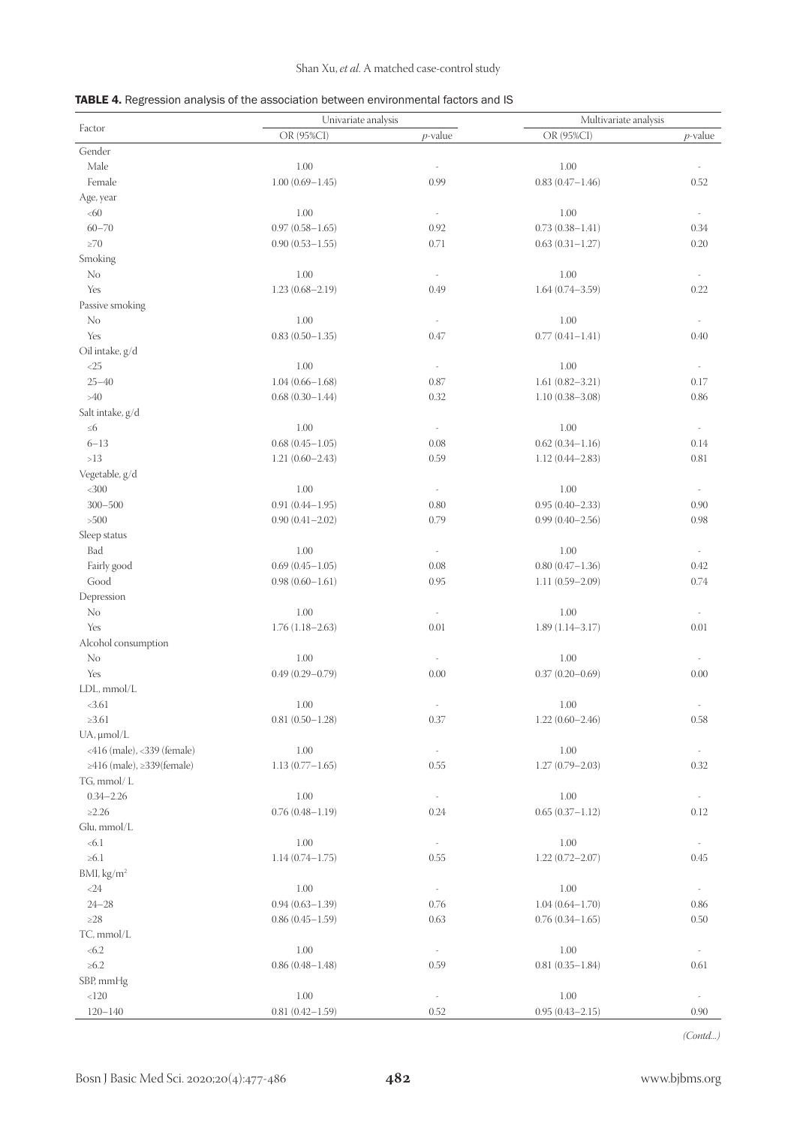## Shan Xu, *et al*. A matched case-control study

|  |  | <b>TABLE 4.</b> Regression analysis of the association between environmental factors and IS |  |  |
|--|--|---------------------------------------------------------------------------------------------|--|--|
|--|--|---------------------------------------------------------------------------------------------|--|--|

|                            | Univariate analysis |                                  | Multivariate analysis |                          |
|----------------------------|---------------------|----------------------------------|-----------------------|--------------------------|
| Factor                     | OR (95%CI)          | $p$ -value                       | OR (95%CI)            | $p$ -value               |
| Gender                     |                     |                                  |                       |                          |
| Male                       | 1.00                |                                  | 1.00                  |                          |
| Female                     | $1.00(0.69 - 1.45)$ | 0.99                             | $0.83(0.47 - 1.46)$   | 0.52                     |
| Age, year                  |                     |                                  |                       |                          |
| <60                        | 1.00                | $\tilde{\phantom{a}}$            | 1.00                  |                          |
| $60 - 70$                  | $0.97(0.58 - 1.65)$ | 0.92                             | $0.73(0.38 - 1.41)$   | 0.34                     |
| ${\ge}70$                  | $0.90(0.53 - 1.55)$ | 0.71                             | $0.63(0.31 - 1.27)$   | 0.20                     |
| Smoking                    |                     |                                  |                       |                          |
| N <sub>o</sub>             | 1.00                | $\overline{\phantom{a}}$         | 1.00                  | $\overline{\phantom{a}}$ |
| Yes                        | $1.23(0.68 - 2.19)$ | 0.49                             | $1.64(0.74 - 3.59)$   | 0.22                     |
| Passive smoking            |                     |                                  |                       |                          |
| N <sub>o</sub>             |                     |                                  |                       |                          |
|                            | 1.00                | $\overline{\phantom{a}}$         | 1.00                  | $\overline{\phantom{a}}$ |
| Yes                        | $0.83(0.50 - 1.35)$ | 0.47                             | $0.77(0.41 - 1.41)$   | 0.40                     |
| Oil intake, g/d            |                     |                                  |                       |                          |
| $<25$                      | 1.00                | $\overline{\phantom{a}}$         | 1.00                  | $\overline{\phantom{a}}$ |
| $25 - 40$                  | $1.04(0.66 - 1.68)$ | 0.87                             | $1.61(0.82 - 3.21)$   | 0.17                     |
| $>\!\!40$                  | $0.68(0.30 - 1.44)$ | 0.32                             | $1.10(0.38 - 3.08)$   | 0.86                     |
| Salt intake, g/d           |                     |                                  |                       |                          |
| $\leq 6$                   | 1.00                | $\omega$                         | 1.00                  | $\overline{\phantom{a}}$ |
| $6 - 13$                   | $0.68(0.45 - 1.05)$ | 0.08                             | $0.62(0.34 - 1.16)$   | 0.14                     |
| $>13$                      | $1.21(0.60 - 2.43)$ | 0.59                             | $1.12(0.44 - 2.83)$   | 0.81                     |
| Vegetable, g/d             |                     |                                  |                       |                          |
| $<$ 300                    | 1.00                | $\overline{\phantom{a}}$         | 1.00                  | $\overline{\phantom{a}}$ |
| $300 - 500$                | $0.91(0.44 - 1.95)$ | 0.80                             | $0.95(0.40 - 2.33)$   | 0.90                     |
| >500                       | $0.90(0.41 - 2.02)$ | 0.79                             | $0.99(0.40 - 2.56)$   | 0.98                     |
| Sleep status               |                     |                                  |                       |                          |
| Bad                        | 1.00                | $\overline{\phantom{a}}$         | 1.00                  | $\overline{\phantom{a}}$ |
| Fairly good                | $0.69(0.45 - 1.05)$ | 0.08                             | $0.80(0.47 - 1.36)$   | 0.42                     |
| Good                       | $0.98(0.60 - 1.61)$ | 0.95                             | $1.11(0.59 - 2.09)$   | 0.74                     |
| Depression                 |                     |                                  |                       |                          |
| No                         | 1.00                | $\overline{\phantom{a}}$         | 1.00                  | $\overline{\phantom{a}}$ |
| Yes                        | $1.76(1.18-2.63)$   | 0.01                             | $1.89(1.14 - 3.17)$   | 0.01                     |
| Alcohol consumption        |                     |                                  |                       |                          |
| No                         | 1.00                |                                  | 1.00                  | $\frac{1}{2}$            |
| Yes                        | $0.49(0.29 - 0.79)$ | $\overline{\phantom{a}}$<br>0.00 | $0.37(0.20 - 0.69)$   | 0.00                     |
|                            |                     |                                  |                       |                          |
| LDL, mmol/L                |                     |                                  |                       |                          |
| <3.61                      | 1.00                |                                  | 1.00                  |                          |
| $\geq 3.61$                | $0.81(0.50 - 1.28)$ | 0.37                             | $1.22(0.60 - 2.46)$   | 0.58                     |
| $UA$ , $\mu$ mol/L         |                     |                                  |                       |                          |
| <416 (male), <339 (female) | 1.00                | $\overline{\phantom{a}}$         | 1.00                  |                          |
| ≥416 (male), ≥339(female)  | $1.13(0.77 - 1.65)$ | 0.55                             | $1.27(0.79 - 2.03)$   | 0.32                     |
| TG, mmol/L                 |                     |                                  |                       |                          |
| $0.34 - 2.26$              | $1.00\,$            | $\overline{\phantom{a}}$         | $1.00\,$              | $\overline{\phantom{a}}$ |
| $\geq$ 2.26                | $0.76(0.48 - 1.19)$ | 0.24                             | $0.65(0.37 - 1.12)$   | 0.12                     |
| Glu, mmol/L                |                     |                                  |                       |                          |
| < 6.1                      | 1.00                | $\overline{\phantom{a}}$         | 1.00                  | $\overline{\phantom{a}}$ |
| $\geq 6.1$                 | $1.14(0.74 - 1.75)$ | 0.55                             | $1.22(0.72 - 2.07)$   | 0.45                     |
| BMI, kg/m <sup>2</sup>     |                     |                                  |                       |                          |
| <24                        | 1.00                | $\overline{\phantom{a}}$         | 1.00                  | $\overline{\phantom{a}}$ |
| $24 - 28$                  | $0.94(0.63 - 1.39)$ | 0.76                             | $1.04(0.64 - 1.70)$   | 0.86                     |
| ${\geq}28$                 | $0.86(0.45 - 1.59)$ | 0.63                             | $0.76(0.34 - 1.65)$   | 0.50                     |
| TC, mmol/L                 |                     |                                  |                       |                          |
| < 6.2                      | $1.00\,$            |                                  | $1.00\,$              | $\overline{\phantom{a}}$ |
| ${\geq}6.2$                | $0.86(0.48 - 1.48)$ | 0.59                             | $0.81(0.35 - 1.84)$   | 0.61                     |
| SBP, mmHg                  |                     |                                  |                       |                          |
| < 120                      | $1.00\,$            | $\overline{\phantom{a}}$         | 1.00                  | $\frac{1}{2}$            |
| $120 - 140$                | $0.81(0.42 - 1.59)$ | 0.52                             | $0.95(0.43 - 2.15)$   | 0.90                     |
|                            |                     |                                  |                       |                          |

*(Contd...)*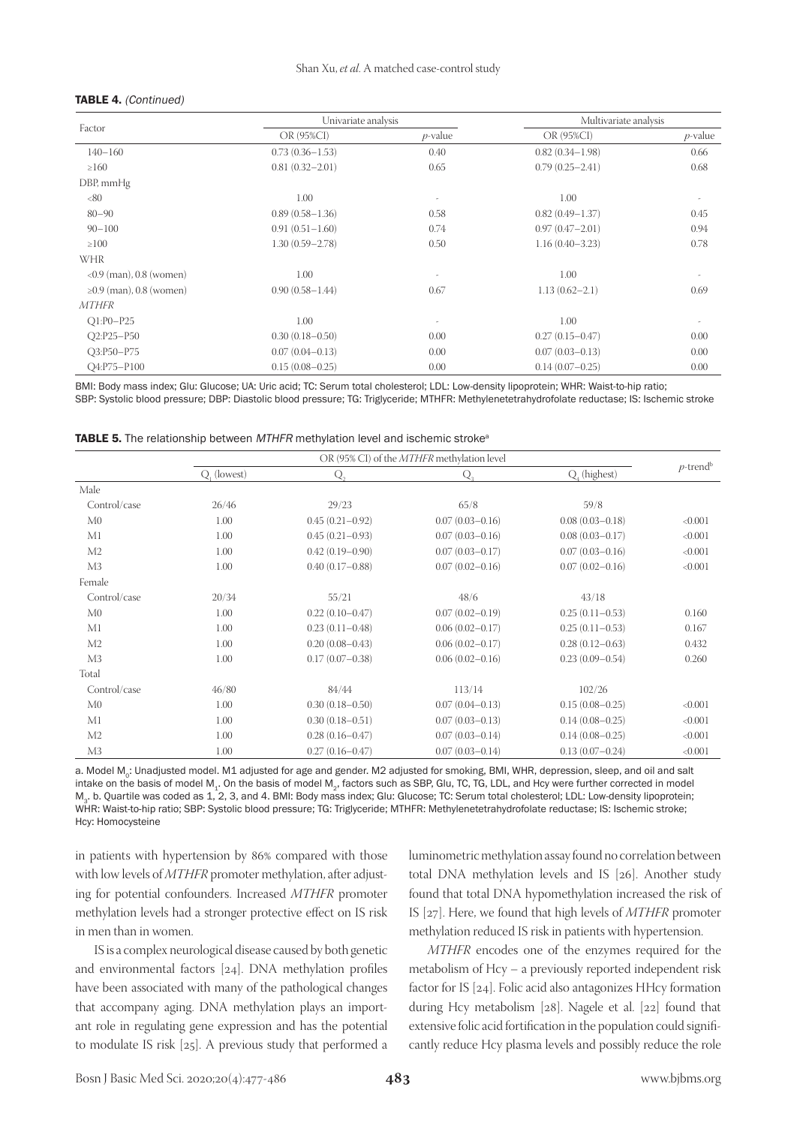#### TABLE 4. (Continued)

|                            |                     | Univariate analysis   |                     | Multivariate analysis |  |  |
|----------------------------|---------------------|-----------------------|---------------------|-----------------------|--|--|
| Factor                     | OR (95%CI)          | $p$ -value            | OR (95%CI)          | $p$ -value            |  |  |
| $140 - 160$                | $0.73(0.36 - 1.53)$ | 0.40                  | $0.82(0.34 - 1.98)$ | 0.66                  |  |  |
| $\geq 160$                 | $0.81(0.32 - 2.01)$ | 0.65                  | $0.79(0.25 - 2.41)$ | 0.68                  |  |  |
| DBP, mmHg                  |                     |                       |                     |                       |  |  |
| <80                        | 1.00                |                       | 1.00                |                       |  |  |
| $80 - 90$                  | $0.89(0.58 - 1.36)$ | 0.58                  | $0.82(0.49 - 1.37)$ | 0.45                  |  |  |
| $90 - 100$                 | $0.91(0.51 - 1.60)$ | 0.74                  | $0.97(0.47 - 2.01)$ | 0.94                  |  |  |
| $\geq 100$                 | $1.30(0.59 - 2.78)$ | 0.50                  | $1.16(0.40 - 3.23)$ | 0.78                  |  |  |
| <b>WHR</b>                 |                     |                       |                     |                       |  |  |
| $<$ 0.9 (man), 0.8 (women) | 1.00                | $\tilde{\phantom{a}}$ | 1.00                |                       |  |  |
| ≥0.9 (man), 0.8 (women)    | $0.90(0.58 - 1.44)$ | 0.67                  | $1.13(0.62 - 2.1)$  | 0.69                  |  |  |
| <i>MTHFR</i>               |                     |                       |                     |                       |  |  |
| $O1:PO-P25$                | 1.00                |                       | 1.00                |                       |  |  |
| O2:P25-P50                 | $0.30(0.18 - 0.50)$ | 0.00                  | $0.27(0.15 - 0.47)$ | 0.00                  |  |  |
| O3:P50-P75                 | $0.07(0.04 - 0.13)$ | 0.00                  | $0.07(0.03 - 0.13)$ | 0.00                  |  |  |
| O4:P75-P100                | $0.15(0.08 - 0.25)$ | 0.00                  | $0.14(0.07-0.25)$   | 0.00                  |  |  |

BMI: Body mass index; Glu: Glucose; UA: Uric acid; TC: Serum total cholesterol; LDL: Low-density lipoprotein; WHR: Waist-to-hip ratio; SBP: Systolic blood pressure; DBP: Diastolic blood pressure; TG: Triglyceride; MTHFR: Methylenetetrahydrofolate reductase; IS: Ischemic stroke

TABLE 5. The relationship between MTHFR methylation level and ischemic stroke<sup>a</sup>

|                | OR (95% CI) of the <i>MTHFR</i> methylation level |                     |                     |                     |                         |
|----------------|---------------------------------------------------|---------------------|---------------------|---------------------|-------------------------|
|                | Q, (lowest)                                       | Q,                  | Q,                  | Q. (highest)        | $p$ -trend <sup>b</sup> |
| Male           |                                                   |                     |                     |                     |                         |
| Control/case   | 26/46                                             | 29/23               | 65/8                | 59/8                |                         |
| M <sub>0</sub> | 1.00                                              | $0.45(0.21 - 0.92)$ | $0.07(0.03 - 0.16)$ | $0.08(0.03 - 0.18)$ | < 0.001                 |
| M1             | 1.00                                              | $0.45(0.21 - 0.93)$ | $0.07(0.03 - 0.16)$ | $0.08(0.03 - 0.17)$ | < 0.001                 |
| M2             | 1.00                                              | $0.42(0.19 - 0.90)$ | $0.07(0.03 - 0.17)$ | $0.07(0.03 - 0.16)$ | < 0.001                 |
| M <sub>3</sub> | 1.00                                              | $0.40(0.17-0.88)$   | $0.07(0.02 - 0.16)$ | $0.07(0.02 - 0.16)$ | < 0.001                 |
| Female         |                                                   |                     |                     |                     |                         |
| Control/case   | 20/34                                             | 55/21               | 48/6                | 43/18               |                         |
| M <sub>0</sub> | 1.00                                              | $0.22(0.10-0.47)$   | $0.07(0.02 - 0.19)$ | $0.25(0.11 - 0.53)$ | 0.160                   |
| M1             | 1.00                                              | $0.23(0.11 - 0.48)$ | $0.06(0.02 - 0.17)$ | $0.25(0.11 - 0.53)$ | 0.167                   |
| M2             | 1.00                                              | $0.20(0.08 - 0.43)$ | $0.06(0.02 - 0.17)$ | $0.28(0.12 - 0.63)$ | 0.432                   |
| M <sub>3</sub> | 1.00                                              | $0.17(0.07 - 0.38)$ | $0.06(0.02 - 0.16)$ | $0.23(0.09 - 0.54)$ | 0.260                   |
| Total          |                                                   |                     |                     |                     |                         |
| Control/case   | 46/80                                             | 84/44               | 113/14              | 102/26              |                         |
| M <sub>0</sub> | 1.00                                              | $0.30(0.18 - 0.50)$ | $0.07(0.04 - 0.13)$ | $0.15(0.08 - 0.25)$ | < 0.001                 |
| M1             | 1.00                                              | $0.30(0.18 - 0.51)$ | $0.07(0.03 - 0.13)$ | $0.14(0.08 - 0.25)$ | < 0.001                 |
| M <sub>2</sub> | 1.00                                              | $0.28(0.16 - 0.47)$ | $0.07(0.03 - 0.14)$ | $0.14(0.08 - 0.25)$ | < 0.001                 |
| M3             | 1.00                                              | $0.27(0.16 - 0.47)$ | $0.07(0.03 - 0.14)$ | $0.13(0.07-0.24)$   | < 0.001                 |

a. Model M.: Unadjusted model. M1 adjusted for age and gender. M2 adjusted for smoking, BMI, WHR, depression, sleep, and oil and salt intake on the basis of model M<sub>1</sub>. On the basis of model M<sub>2</sub>, factors such as SBP, Glu, TC, TG, LDL, and Hcy were further corrected in model M3. b. Quartile was coded as 1, 2, 3, and 4. BMI: Body mass index; Glu: Glucose; TC: Serum total cholesterol; LDL: Low-density lipoprotein; WHR: Waist-to-hip ratio; SBP: Systolic blood pressure; TG: Triglyceride; MTHFR: Methylenetetrahydrofolate reductase; IS: Ischemic stroke; Hcy: Homocysteine

in patients with hypertension by 86% compared with those with low levels of *MTHFR* promoter methylation, after adjusting for potential confounders. Increased *MTHFR* promoter methylation levels had a stronger protective effect on IS risk in men than in women.

IS is a complex neurological disease caused by both genetic and environmental factors [24]. DNA methylation profiles have been associated with many of the pathological changes that accompany aging. DNA methylation plays an important role in regulating gene expression and has the potential to modulate IS risk [25]. A previous study that performed a

luminometric methylation assay found no correlation between total DNA methylation levels and IS [26]. Another study found that total DNA hypomethylation increased the risk of IS [27]. Here, we found that high levels of *MTHFR* promoter methylation reduced IS risk in patients with hypertension.

*MTHFR* encodes one of the enzymes required for the metabolism of Hcy – a previously reported independent risk factor for IS [24]. Folic acid also antagonizes HHcy formation during Hcy metabolism [28]. Nagele et al. [22] found that extensive folic acid fortification in the population could significantly reduce Hcy plasma levels and possibly reduce the role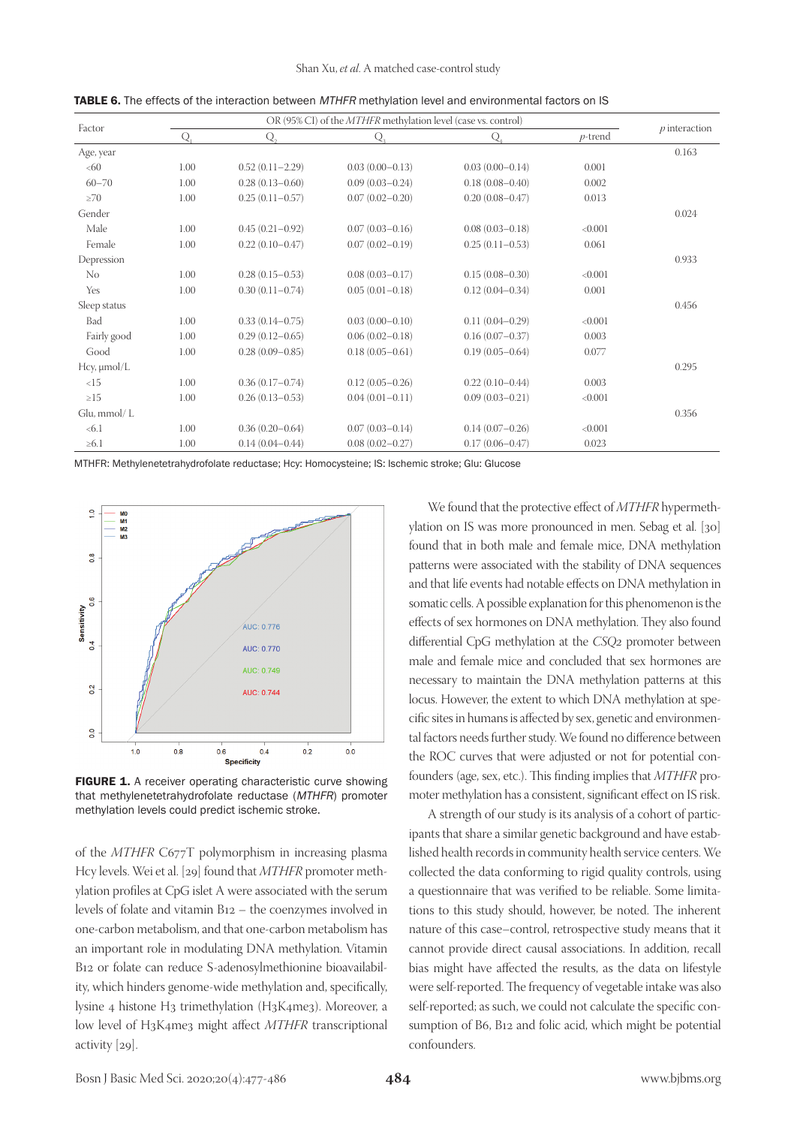| Factor           | OR (95% CI) of the <i>MTHFR</i> methylation level (case vs. control) |                     |                     |                     |            | $p$ interaction |
|------------------|----------------------------------------------------------------------|---------------------|---------------------|---------------------|------------|-----------------|
|                  | Q                                                                    | Q,                  | Q.                  | $\circ$             | $p$ -trend |                 |
| Age, year        |                                                                      |                     |                     |                     |            | 0.163           |
| <60              | 1.00                                                                 | $0.52(0.11 - 2.29)$ | $0.03(0.00-0.13)$   | $0.03(0.00-0.14)$   | 0.001      |                 |
| $60 - 70$        | 1.00                                                                 | $0.28(0.13 - 0.60)$ | $0.09(0.03 - 0.24)$ | $0.18(0.08 - 0.40)$ | 0.002      |                 |
| $\geq 70$        | 1.00                                                                 | $0.25(0.11 - 0.57)$ | $0.07(0.02 - 0.20)$ | $0.20(0.08 - 0.47)$ | 0.013      |                 |
| Gender           |                                                                      |                     |                     |                     |            | 0.024           |
| Male             | 1.00                                                                 | $0.45(0.21 - 0.92)$ | $0.07(0.03 - 0.16)$ | $0.08(0.03 - 0.18)$ | < 0.001    |                 |
| Female           | 1.00                                                                 | $0.22(0.10-0.47)$   | $0.07(0.02 - 0.19)$ | $0.25(0.11 - 0.53)$ | 0.061      |                 |
| Depression       |                                                                      |                     |                     |                     |            | 0.933           |
| No               | 1.00                                                                 | $0.28(0.15-0.53)$   | $0.08(0.03 - 0.17)$ | $0.15(0.08 - 0.30)$ | < 0.001    |                 |
| Yes              | 1.00                                                                 | $0.30(0.11 - 0.74)$ | $0.05(0.01 - 0.18)$ | $0.12(0.04 - 0.34)$ | 0.001      |                 |
| Sleep status     |                                                                      |                     |                     |                     |            | 0.456           |
| Bad              | 1.00                                                                 | $0.33(0.14 - 0.75)$ | $0.03(0.00 - 0.10)$ | $0.11(0.04 - 0.29)$ | < 0.001    |                 |
| Fairly good      | 1.00                                                                 | $0.29(0.12 - 0.65)$ | $0.06(0.02 - 0.18)$ | $0.16(0.07-0.37)$   | 0.003      |                 |
| Good             | 1.00                                                                 | $0.28(0.09 - 0.85)$ | $0.18(0.05 - 0.61)$ | $0.19(0.05 - 0.64)$ | 0.077      |                 |
| Hcy, $\mu$ mol/L |                                                                      |                     |                     |                     |            | 0.295           |
| <15              | 1.00                                                                 | $0.36(0.17-0.74)$   | $0.12(0.05 - 0.26)$ | $0.22(0.10-0.44)$   | 0.003      |                 |
| $\geq 15$        | 1.00                                                                 | $0.26(0.13 - 0.53)$ | $0.04(0.01 - 0.11)$ | $0.09(0.03 - 0.21)$ | < 0.001    |                 |
| Glu, mmol/L      |                                                                      |                     |                     |                     |            | 0.356           |
| <6.1             | 1.00                                                                 | $0.36(0.20 - 0.64)$ | $0.07(0.03 - 0.14)$ | $0.14(0.07-0.26)$   | < 0.001    |                 |
| $\geq 6.1$       | 1.00                                                                 | $0.14(0.04 - 0.44)$ | $0.08(0.02 - 0.27)$ | $0.17(0.06 - 0.47)$ | 0.023      |                 |

**TABLE 6.** The effects of the interaction between *MTHFR* methylation level and environmental factors on IS

MTHFR: Methylenetetrahydrofolate reductase; Hcy: Homocysteine; IS: Ischemic stroke; Glu: Glucose



FIGURE 1. A receiver operating characteristic curve showing that methylenetetrahydrofolate reductase (MTHFR) promoter methylation levels could predict ischemic stroke.

of the *MTHFR* C677T polymorphism in increasing plasma Hcy levels. Wei et al. [29] found that *MTHFR* promoter methylation profiles at CpG islet A were associated with the serum levels of folate and vitamin B12 – the coenzymes involved in one-carbon metabolism, and that one-carbon metabolism has an important role in modulating DNA methylation. Vitamin B12 or folate can reduce S-adenosylmethionine bioavailability, which hinders genome-wide methylation and, specifically, lysine 4 histone H3 trimethylation (H3K4me3). Moreover, a low level of H3K4me3 might affect *MTHFR* transcriptional activity [29].

We found that the protective effect of *MTHFR* hypermethylation on IS was more pronounced in men. Sebag et al. [30] found that in both male and female mice, DNA methylation patterns were associated with the stability of DNA sequences and that life events had notable effects on DNA methylation in somatic cells. A possible explanation for this phenomenon is the effects of sex hormones on DNA methylation. They also found differential CpG methylation at the *CSQ2* promoter between male and female mice and concluded that sex hormones are necessary to maintain the DNA methylation patterns at this locus. However, the extent to which DNA methylation at specific sites in humans is affected by sex, genetic and environmental factors needs further study. We found no difference between the ROC curves that were adjusted or not for potential confounders (age, sex, etc.). This finding implies that *MTHFR* promoter methylation has a consistent, significant effect on IS risk.

A strength of our study is its analysis of a cohort of participants that share a similar genetic background and have established health records in community health service centers. We collected the data conforming to rigid quality controls, using a questionnaire that was verified to be reliable. Some limitations to this study should, however, be noted. The inherent nature of this case–control, retrospective study means that it cannot provide direct causal associations. In addition, recall bias might have affected the results, as the data on lifestyle were self-reported. The frequency of vegetable intake was also self-reported; as such, we could not calculate the specific consumption of B6, B12 and folic acid, which might be potential confounders.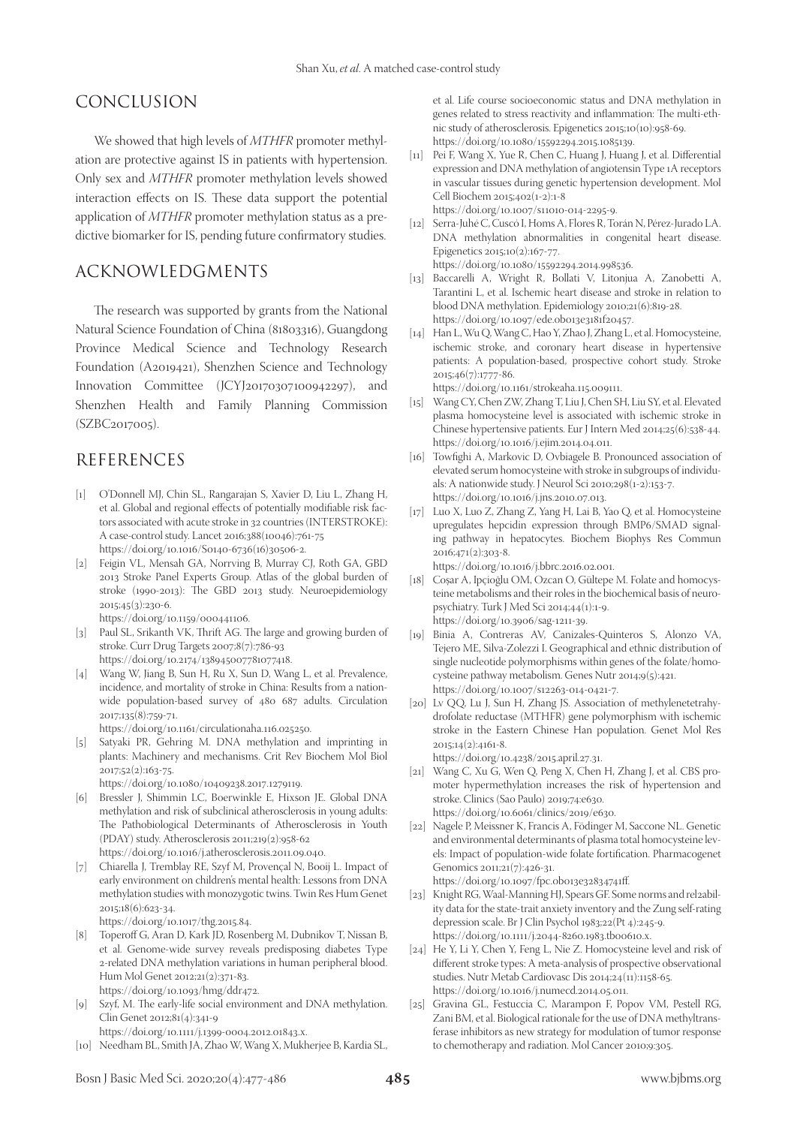# CONCLUSION

We showed that high levels of *MTHFR* promoter methylation are protective against IS in patients with hypertension. Only sex and *MTHFR* promoter methylation levels showed interaction effects on IS. These data support the potential application of *MTHFR* promoter methylation status as a predictive biomarker for IS, pending future confirmatory studies.

# ACKNOWLEDGMENTS

The research was supported by grants from the National Natural Science Foundation of China (81803316), Guangdong Province Medical Science and Technology Research Foundation (A2019421), Shenzhen Science and Technology Innovation Committee (JCYJ20170307100942297), and Shenzhen Health and Family Planning Commission (SZBC2017005).

# REFERENCES

- [1] O'Donnell MJ, Chin SL, Rangarajan S, Xavier D, Liu L, Zhang H, et al. Global and regional effects of potentially modifiable risk factors associated with acute stroke in 32 countries (INTERSTROKE): A case-control study. Lancet 2016;388(10046):761-75 https://doi.org/10.1016/S0140-6736(16)30506-2.
- [2] Feigin VL, Mensah GA, Norrving B, Murray CJ, Roth GA, GBD 2013 Stroke Panel Experts Group. Atlas of the global burden of stroke (1990-2013): The GBD 2013 study. Neuroepidemiology 2015;45(3):230-6.

https://doi.org/10.1159/000441106.

- [3] Paul SL, Srikanth VK, Thrift AG. The large and growing burden of stroke. Curr Drug Targets 2007;8(7):786-93 https://doi.org/10.2174/138945007781077418.
- [4] Wang W, Jiang B, Sun H, Ru X, Sun D, Wang L, et al. Prevalence, incidence, and mortality of stroke in China: Results from a nationwide population-based survey of 480 687 adults. Circulation 2017;135(8):759-71.

https://doi.org/10.1161/circulationaha.116.025250.

[5] Satyaki PR, Gehring M. DNA methylation and imprinting in plants: Machinery and mechanisms. Crit Rev Biochem Mol Biol 2017;52(2):163-75.

https://doi.org/10.1080/10409238.2017.1279119.

- [6] Bressler J, Shimmin LC, Boerwinkle E, Hixson JE. Global DNA methylation and risk of subclinical atherosclerosis in young adults: The Pathobiological Determinants of Atherosclerosis in Youth (PDAY) study. Atherosclerosis 2011;219(2):958-62 https://doi.org/10.1016/j.atherosclerosis.2011.09.040.
- [7] Chiarella J, Tremblay RE, Szyf M, Provençal N, Booij L. Impact of early environment on children's mental health: Lessons from DNA methylation studies with monozygotic twins. Twin Res Hum Genet 2015;18(6):623-34.

https://doi.org/10.1017/thg.2015.84.

- [8] Toperoff G, Aran D, Kark JD, Rosenberg M, Dubnikov T, Nissan B, et al. Genome-wide survey reveals predisposing diabetes Type 2-related DNA methylation variations in human peripheral blood. Hum Mol Genet 2012;21(2):371-83. https://doi.org/10.1093/hmg/ddr472.
- [9] Szyf, M. The early-life social environment and DNA methylation. Clin Genet 2012;81(4):341-9
- https://doi.org/10.1111/j.1399-0004.2012.01843.x. [10] Needham BL, Smith JA, Zhao W, Wang X, Mukherjee B, Kardia SL,

et al. Life course socioeconomic status and DNA methylation in genes related to stress reactivity and inflammation: The multi-ethnic study of atherosclerosis. Epigenetics 2015;10(10):958-69. https://doi.org/10.1080/15592294.2015.1085139.

- [11] Pei F, Wang X, Yue R, Chen C, Huang J, Huang J, et al. Differential expression and DNA methylation of angiotensin Type 1A receptors in vascular tissues during genetic hypertension development. Mol Cell Biochem 2015;402(1-2):1-8 https://doi.org/10.1007/s11010-014-2295-9.
- [12] Serra-Juhé C, Cuscó I, Homs A, Flores R, Torán N, Pérez-Jurado LA. DNA methylation abnormalities in congenital heart disease. Epigenetics 2015;10(2):167-77. https://doi.org/10.1080/15592294.2014.998536.
- [13] Baccarelli A, Wright R, Bollati V, Litonjua A, Zanobetti A, Tarantini L, et al. Ischemic heart disease and stroke in relation to blood DNA methylation. Epidemiology 2010;21(6):819-28. https://doi.org/10.1097/ede.0b013e3181f20457.
- [14] Han L, Wu Q, Wang C, Hao Y, Zhao J, Zhang L, et al. Homocysteine, ischemic stroke, and coronary heart disease in hypertensive patients: A population-based, prospective cohort study. Stroke 2015;46(7):1777-86.

https://doi.org/10.1161/strokeaha.115.009111.

- [15] Wang CY, Chen ZW, Zhang T, Liu J, Chen SH, Liu SY, et al. Elevated plasma homocysteine level is associated with ischemic stroke in Chinese hypertensive patients. Eur J Intern Med 2014;25(6):538-44. https://doi.org/10.1016/j.ejim.2014.04.011.
- [16] Towfighi A, Markovic D, Ovbiagele B. Pronounced association of elevated serum homocysteine with stroke in subgroups of individuals: A nationwide study. J Neurol Sci 2010;298(1-2):153-7. https://doi.org/10.1016/j.jns.2010.07.013.
- [17] Luo X, Luo Z, Zhang Z, Yang H, Lai B, Yao Q, et al. Homocysteine upregulates hepcidin expression through BMP6/SMAD signaling pathway in hepatocytes. Biochem Biophys Res Commun 2016;471(2):303-8.

https://doi.org/10.1016/j.bbrc.2016.02.001.

- [18] Coșar A, Ipçioğlu OM, Ozcan O, Gültepe M. Folate and homocysteine metabolisms and their roles in the biochemical basis of neuropsychiatry. Turk J Med Sci 2014;44(1):1-9. https://doi.org/10.3906/sag-1211-39.
- [19] Binia A, Contreras AV, Canizales-Quinteros S, Alonzo VA, Tejero ME, Silva-Zolezzi I. Geographical and ethnic distribution of single nucleotide polymorphisms within genes of the folate/homocysteine pathway metabolism. Genes Nutr 2014;9(5):421. https://doi.org/10.1007/s12263-014-0421-7.
- [20] Lv QQ, Lu J, Sun H, Zhang JS. Association of methylenetetrahydrofolate reductase (MTHFR) gene polymorphism with ischemic stroke in the Eastern Chinese Han population. Genet Mol Res 2015;14(2):4161-8.

https://doi.org/10.4238/2015.april.27.31.

- [21] Wang C, Xu G, Wen Q, Peng X, Chen H, Zhang J, et al. CBS promoter hypermethylation increases the risk of hypertension and stroke. Clinics (Sao Paulo) 2019;74:e630. https://doi.org/10.6061/clinics/2019/e630.
- [22] Nagele P, Meissner K, Francis A, Födinger M, Saccone NL. Genetic and environmental determinants of plasma total homocysteine levels: Impact of population-wide folate fortification. Pharmacogenet Genomics 2011;21(7):426-31. https://doi.org/10.1097/fpc.0b013e32834741ff.
- [23] Knight RG, Waal-Manning HJ, Spears GF. Some norms and rel2ability data for the state-trait anxiety inventory and the Zung self-rating depression scale. Br J Clin Psychol 1983;22(Pt 4):245-9. https://doi.org/10.1111/j.2044-8260.1983.tb00610.x.
- [24] He Y, Li Y, Chen Y, Feng L, Nie Z. Homocysteine level and risk of different stroke types: A meta-analysis of prospective observational studies. Nutr Metab Cardiovasc Dis 2014;24(11):1158-65. https://doi.org/10.1016/j.numecd.2014.05.011.
- [25] Gravina GL, Festuccia C, Marampon F, Popov VM, Pestell RG, Zani BM, et al. Biological rationale for the use of DNA methyltransferase inhibitors as new strategy for modulation of tumor response to chemotherapy and radiation. Mol Cancer 2010;9:305.